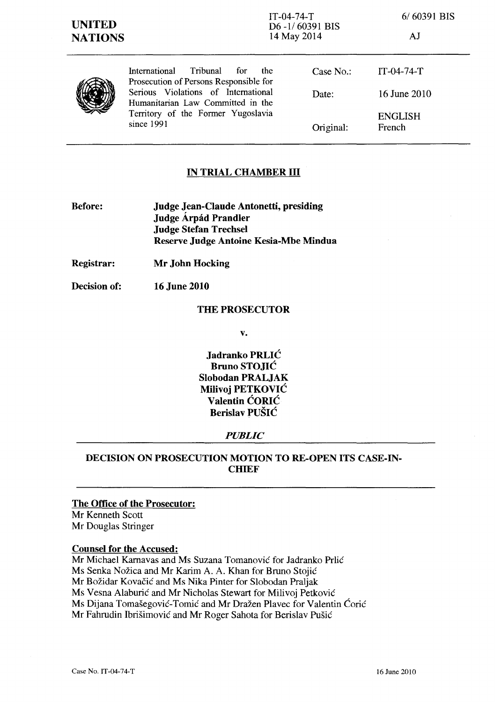6/60391 BIS

AJ

|  | Tribunal<br>International<br>for<br><sub>the</sub><br>Prosecution of Persons Responsible for<br>Serious Violations of International<br>Humanitarian Law Committed in the<br>Territory of the Former Yugoslavia<br>since 1991 | Case No.:<br>Date: | $IT-04-74-T$<br>16 June 2010 |
|--|------------------------------------------------------------------------------------------------------------------------------------------------------------------------------------------------------------------------------|--------------------|------------------------------|
|  |                                                                                                                                                                                                                              | Original:          | <b>ENGLISH</b><br>French     |

# **IN TRIAL CHAMBER III**

- **Before: Judge Jean-Claude Antonetti, presiding Judge Arpad Prandler Judge Stefan Trechsel Reserve Judge Antoine Kesia-Mbe Mindua**
- **Registrar: Mr John Hocking**
- **Decision of:**  16 June 2010

#### **THE PROSECUTOR**

**v.** 

**Jadranko PRLIC Bruno STOJIC Slobodan PRALJAK Milivoj PETKOVIC Valentin CORIC Berislav PUSIC** 

### *PUBLIC*

# **DECISION ON PROSECUTION MOTION TO RE-OPEN ITS CASE-IN-CHIEF**

### **The Office of the Prosecutor:**

Mr Kenneth Scott Mr Douglas Stringer

#### **Counsel for the Accused:**

Mr Michael Karnavas and Ms Suzana Tomanović for Jadranko Prlić Ms Senka Nožica and Mr Karim A. A. Khan for Bruno Stojić Mr Božidar Kovačić and Ms Nika Pinter for Slobodan Praljak Ms Vesna Alaburic and Mr Nicholas Stewart for Milivoj Petkovic Ms Dijana Tomašegović-Tomić and Mr Dražen Plavec for Valentin Ćorić Mr Fahrudin Ibrisimovic and Mr Roger Sahota for Berislav Pusic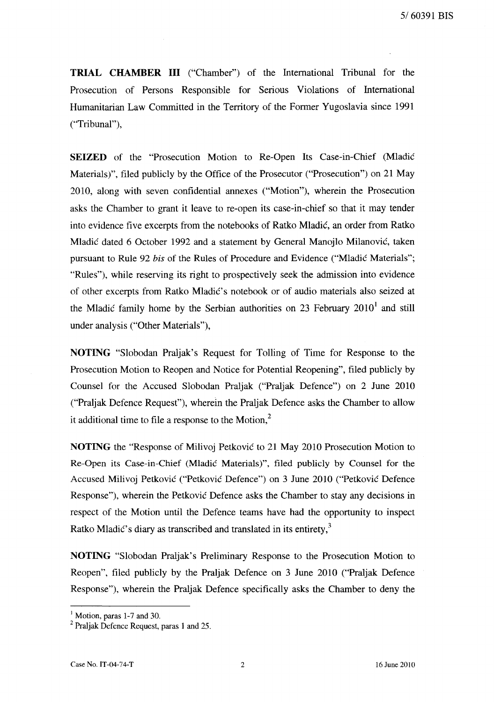**TRIAL CHAMBER III** ("Chamber") of the International Tribunal for the Prosecution of Persons Responsible for Serious Violations of International Humanitarian Law Committed in the Territory of the Former Yugoslavia since 1991 ("Tribunal"),

**SEIZED** of the "Prosecution Motion to Re-Open Its Case-in-Chief (Mladic Materials)", filed publicly by the Office of the Prosecutor ("Prosecution") on 21 May 2010, along with seven confidential annexes ("Motion"), wherein the Prosecution asks the Chamber to grant it leave to re-open its case-in-chief so that it may tender into evidence five excerpts from the notebooks of Ratko Mladic, an order from Ratko Mladic dated 6 October 1992 and a statement by General Manojlo Milanovic, taken pursuant to Rule 92 *his* of the Rules of Procedure and Evidence ("Mladic Materials"; "Rules"), while reserving its right to prospectively seek the admission into evidence of other excerpts from Ratko Mladic's notebook or of audio materials also seized at the Mladic family home by the Serbian authorities on 23 February  $2010<sup>1</sup>$  and still under analysis ("Other Materials"),

**NOTING** "Slobodan Praljak's Request for Tolling of Time for Response to the Prosecution Motion to Reopen and Notice for Potential Reopening", filed publicly by Counsel for the Accused Slobodan Praljak ("Praljak Defence") on 2 June 2010 ("Praljak Defence Request"), wherein the Praljak Defence asks the Chamber to allow it additional time to file a response to the Motion.<sup>2</sup>

**NOTING** the "Response of Milivoj Petkovic to 21 May 2010 Prosecution Motion to Re-Open its Case-in-Chief (Mladic Materials)", filed publicly by Counsel for the Accused Milivoj Petkovic ("Petkovic Defence") on 3 June 2010 ("Petkovic Defence Response"), wherein the Petkovic Defence asks the Chamber to stay any decisions in respect of the Motion until the Defence teams have had the opportunity to inspect Ratko Mladić's diary as transcribed and translated in its entirety, $3$ 

**NOTING** "Slobodan Praljak's Preliminary Response to the Prosecution Motion to Reopen", filed publicly by the Praljak Defence on 3 June 2010 ("Praljak Defence Response"), wherein the Praljak Defence specifically asks the Chamber to deny the

 $<sup>1</sup>$  Motion, paras 1-7 and 30.</sup>

<sup>2</sup> Praljak Defence Request, paras 1 and 25.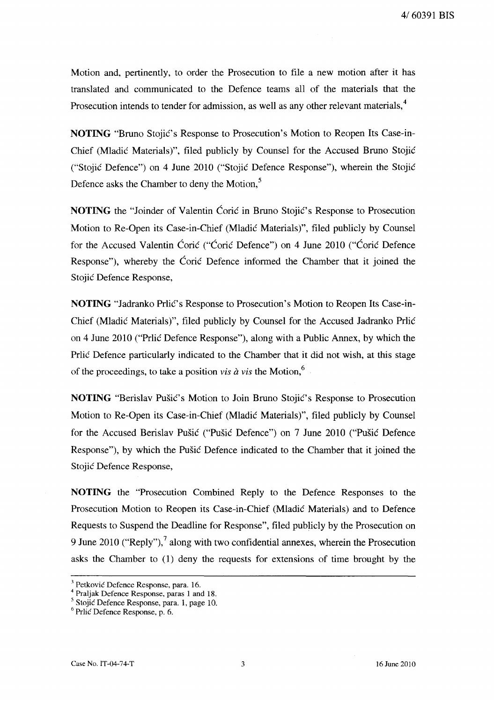Motion and, pertinently, to order the Prosecution to file a new motion after it has translated and communicated to the Defence teams all of the materials that the Prosecution intends to tender for admission, as well as any other relevant materials,<sup>4</sup>

**NOTING** "Bruno Stojie's Response to Prosecution's Motion to Reopen Its Case-in-Chief (Mladie Materials)", filed publicly by Counsel for the Accused Bruno Stojie ("Stojie Defence") on 4 June 2010 ("Stojie Defence Response"), wherein the Stojie Defence asks the Chamber to deny the Motion,<sup>5</sup>

**NOTING** the "Joinder of Valentin Coric in Bruno Stojic's Response to Prosecution Motion to Re-Open its Case-in-Chief (Mladie Materials)", filed publicly by Counsel for the Accused Valentin Corie ("Corie Defence") on 4 June 2010 ("Corie Defence Response"), whereby the Coric Defence informed the Chamber that it joined the Stojić Defence Response,

**NOTING** "Jadranko Prlić's Response to Prosecution's Motion to Reopen Its Case-in-Chief (Mladie Materials)", filed publicly by Counsel for the Accused Jadranko Prlie on 4 June 2010 ("Prlie Defence Response"), along with a Public Annex, by which the Prlic Defence particularly indicated to the Chamber that it did not wish, at this stage of the proceedings, to take a position *vis*  $\hat{a}$  *vis* the Motion,<sup>6</sup>

**NOTING** "Berislav Pušić's Motion to Join Bruno Stojić's Response to Prosecution Motion to Re-Open its Case-in-Chief (Mladie Materials)", filed publicly by Counsel for the Accused Berislav Pušić ("Pušić Defence") on 7 June 2010 ("Pušić Defence Response"), by which the Pušić Defence indicated to the Chamber that it joined the Stojić Defence Response,

**NOTING** the "Prosecution Combined Reply to the Defence Responses to the Prosecution Motion to Reopen its Case-in-Chief (Mladić Materials) and to Defence Requests to Suspend the Deadline for Response", filed publicly by the Prosecution on 9 June 2010 ("Reply"), along with two confidential annexes, wherein the Prosecution asks the Chamber to (1) deny the requests for extensions of time brought by the

<sup>&</sup>lt;sup>3</sup> Petković Defence Response, para. 16.

<sup>4</sup> Praljak Defence Response, paras 1 and 18.

<sup>5</sup> Stojic Defence Response, para. 1, page 10.

<sup>6</sup> Prlic Defence Response, p. 6.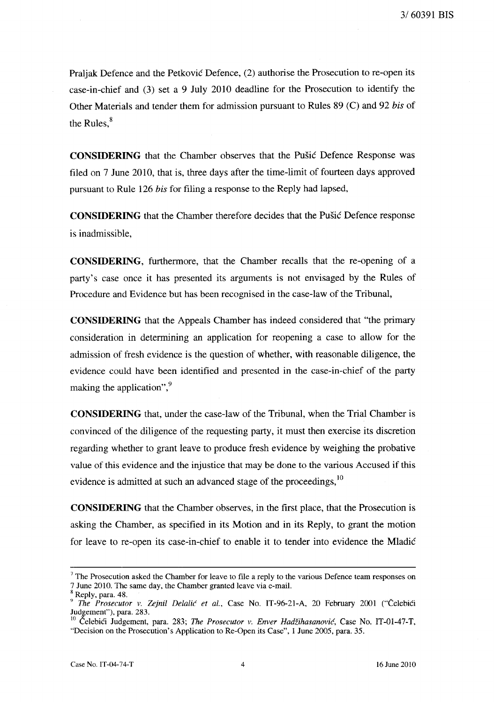Praljak Defence and the Petkovic Defence, (2) authorise the Prosecution to re-open its case-in-chief and (3) set a 9 July 2010 deadline for the Prosecution to identify the Other Materials and tender them for admission pursuant to Rules 89 (C) and 92 *his* of the Rules. $<sup>8</sup>$ </sup>

**CONSIDERING** that the Chamber observes that the Pusic Defence Response was filed on 7 June 2010, that is, three days after the time-limit of fourteen days approved pursuant to Rule 126 *his* for filing a response to the Reply had lapsed,

**CONSIDERING** that the Chamber therefore decides that the Pusic Defence response is inadmissible,

**CONSIDERING,** furthermore, that the Chamber recalls that the re-openmg of a party's case once it has presented its arguments is not envisaged by the Rules of Procedure and Evidence but has been recognised in the case-law of the Tribunal,

**CONSIDERING** that the Appeals Chamber has indeed considered that "the primary consideration in determining an application for reopening a case to allow for the admission of fresh evidence is the question of whether, with reasonable diligence, the evidence could have been identified and presented in the case-in-chief of the party making the application", $\frac{9}{2}$ 

**CONSIDERING** that, under the case-law of the Tribunal, when the Trial Chamber is convinced of the diligence of the requesting party, it must then exercise its discretion regarding whether to grant leave to produce fresh evidence by weighing the probative value of this evidence and the injustice that may be done to the various Accused if this evidence is admitted at such an advanced stage of the proceedings,<sup>10</sup>

**CONSIDERING** that the Chamber observes, in the first place, that the Prosecution is asking the Chamber, as specified in its Motion and in its Reply, to grant the motion for leave to re-open its case-in-chief to enable it to tender into evidence the Mladic

 $<sup>7</sup>$  The Prosecution asked the Chamber for leave to file a reply to the various Defence team responses on</sup> 7 June 2010. The same day, the Chamber granted leave via e-mail.

Reply, para. 48.

<sup>&</sup>lt;sup>9</sup> The Prosecutor v. Zejnil Delalić et al., Case No. IT-96-21-A, 20 February 2001 ("Čelebići Judgement"), para. 283.

<sup>&</sup>lt;sup>10</sup> Čelebići Judgement, para. 283; *The Prosecutor v. Enver Hadžihasanović*, Case No. IT-01-47-T, "Decision on the Prosecution's Application to Re-Open its Case", 1 June 2005, para. 35.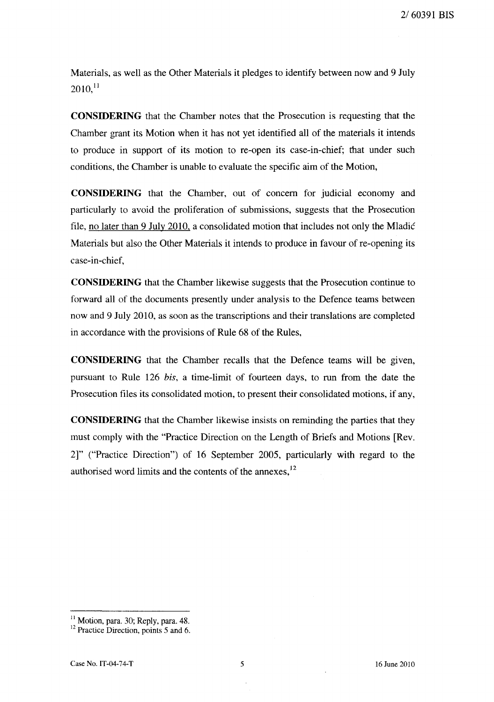Materials, as well as the Other Materials it pledges to identify between now and 9 July  $2010$ <sup>11</sup>

**CONSIDERING** that the Chamber notes that the Prosecution is requesting that the Chamber grant its Motion when it has not yet identified all of the materials it intends to produce in support of its motion to re-open its case-in-chief; that under such conditions, the Chamber is unable to evaluate the specific aim of the Motion,

**CONSIDERING** that the Chamber, out of concern for judicial economy and particularly to avoid the proliferation of submissions, suggests that the Prosecution file, no later than 9 July 2010, a consolidated motion that includes not only the Mladic Materials but also the Other Materials it intends to produce in favour of re-opening its case-in-chief,

**CONSIDERING** that the Chamber likewise suggests that the Prosecution continue to forward all of the documents presently under analysis to the Defence teams between now and 9 July 2010, as soon as the transcriptions and their translations are completed in accordance with the provisions of Rule 68 of the Rules,

**CONSIDERING** that the Chamber recalls that the Defence teams will be given, pursuant to Rule 126 *bis,* a time-limit of fourteen days, to run from the date the Prosecution tiles its consolidated motion, to present their consolidated motions, if any,

**CONSIDERING** that the Chamber likewise insists on reminding the parties that they must comply with the "Practice Direction on the Length of Briefs and Motions [Rev. 2]" ("Practice Direction") of 16 September 2005, particularly with regard to the authorised word limits and the contents of the annexes, 12

 $<sup>11</sup>$  Motion, para. 30; Reply, para. 48.</sup>

 $12$  Practice Direction, points 5 and 6.